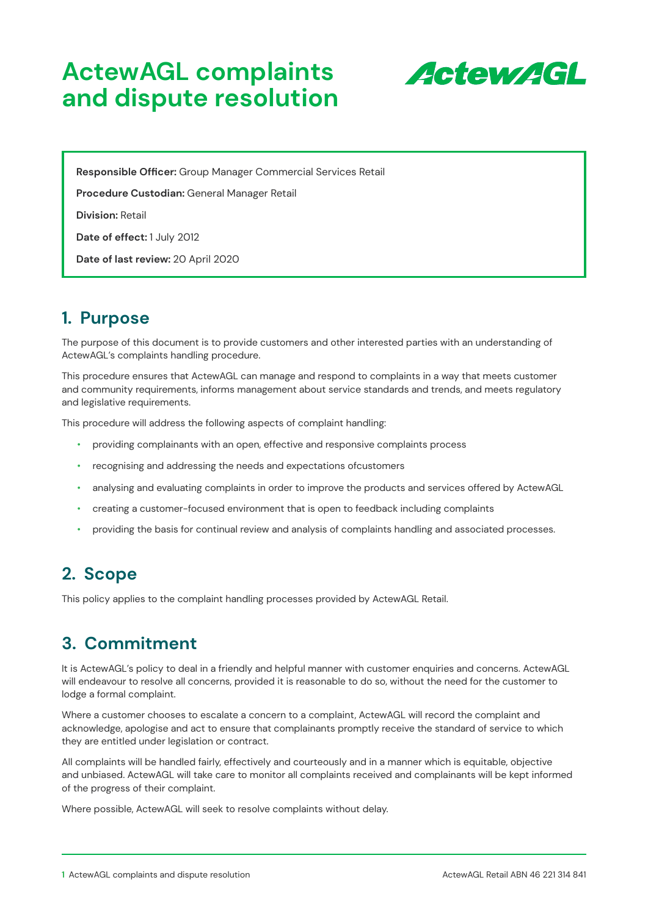# **ActewAGL complaints and dispute resolution**



**Responsible Officer:** Group Manager Commercial Services Retail

**Procedure Custodian:** General Manager Retail

**Division:** Retail

**Date of effect:** 1 July 2012

**Date of last review:** 20 April 2020

### **1. Purpose**

The purpose of this document is to provide customers and other interested parties with an understanding of ActewAGL's complaints handling procedure.

This procedure ensures that ActewAGL can manage and respond to complaints in a way that meets customer and community requirements, informs management about service standards and trends, and meets regulatory and legislative requirements.

This procedure will address the following aspects of complaint handling:

- providing complainants with an open, effective and responsive complaints process
- recognising and addressing the needs and expectations ofcustomers
- analysing and evaluating complaints in order to improve the products and services offered by ActewAGL
- creating a customer-focused environment that is open to feedback including complaints
- providing the basis for continual review and analysis of complaints handling and associated processes.

### **2. Scope**

This policy applies to the complaint handling processes provided by ActewAGL Retail.

### **3. Commitment**

It is ActewAGL's policy to deal in a friendly and helpful manner with customer enquiries and concerns. ActewAGL will endeavour to resolve all concerns, provided it is reasonable to do so, without the need for the customer to lodge a formal complaint.

Where a customer chooses to escalate a concern to a complaint, ActewAGL will record the complaint and acknowledge, apologise and act to ensure that complainants promptly receive the standard of service to which they are entitled under legislation or contract.

All complaints will be handled fairly, effectively and courteously and in a manner which is equitable, objective and unbiased. ActewAGL will take care to monitor all complaints received and complainants will be kept informed of the progress of their complaint.

Where possible, ActewAGL will seek to resolve complaints without delay.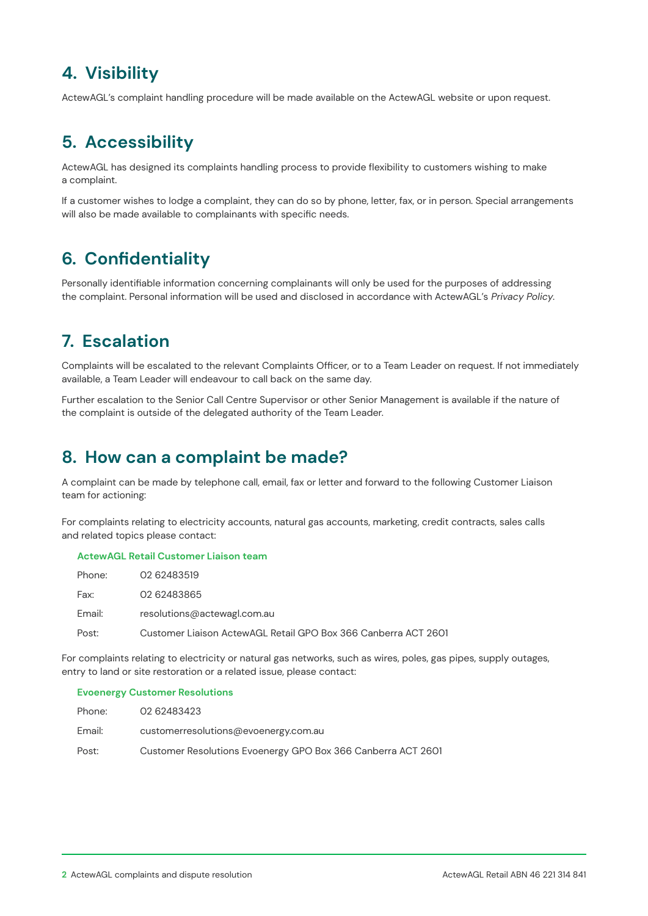# **4. Visibility**

ActewAGL's complaint handling procedure will be made available on the ActewAGL website or upon request.

# **5. Accessibility**

ActewAGL has designed its complaints handling process to provide flexibility to customers wishing to make a complaint.

If a customer wishes to lodge a complaint, they can do so by phone, letter, fax, or in person. Special arrangements will also be made available to complainants with specific needs.

# **6. Confidentiality**

Personally identifiable information concerning complainants will only be used for the purposes of addressing the complaint. Personal information will be used and disclosed in accordance with ActewAGL's Privacy Policy.

# **7. Escalation**

Complaints will be escalated to the relevant Complaints Officer, or to a Team Leader on request. If not immediately available, a Team Leader will endeavour to call back on the same day.

Further escalation to the Senior Call Centre Supervisor or other Senior Management is available if the nature of the complaint is outside of the delegated authority of the Team Leader.

### **8. How can a complaint be made?**

A complaint can be made by telephone call, email, fax or letter and forward to the following Customer Liaison team for actioning:

For complaints relating to electricity accounts, natural gas accounts, marketing, credit contracts, sales calls and related topics please contact:

### **ActewAGL Retail Customer Liaison team**

| Phone: | 02 62483519                                                    |
|--------|----------------------------------------------------------------|
| Fax:   | 02 62483865                                                    |
| Email: | resolutions@actewagl.com.au                                    |
| Post:  | Customer Liaison ActewAGL Retail GPO Box 366 Canberra ACT 2601 |

For complaints relating to electricity or natural gas networks, such as wires, poles, gas pipes, supply outages, entry to land or site restoration or a related issue, please contact:

#### **Evoenergy Customer Resolutions**

| Phone: | 02 62483423                                                  |
|--------|--------------------------------------------------------------|
| Email: | customerresolutions@evoenergy.com.au                         |
| Post:  | Customer Resolutions Evoenergy GPO Box 366 Canberra ACT 2601 |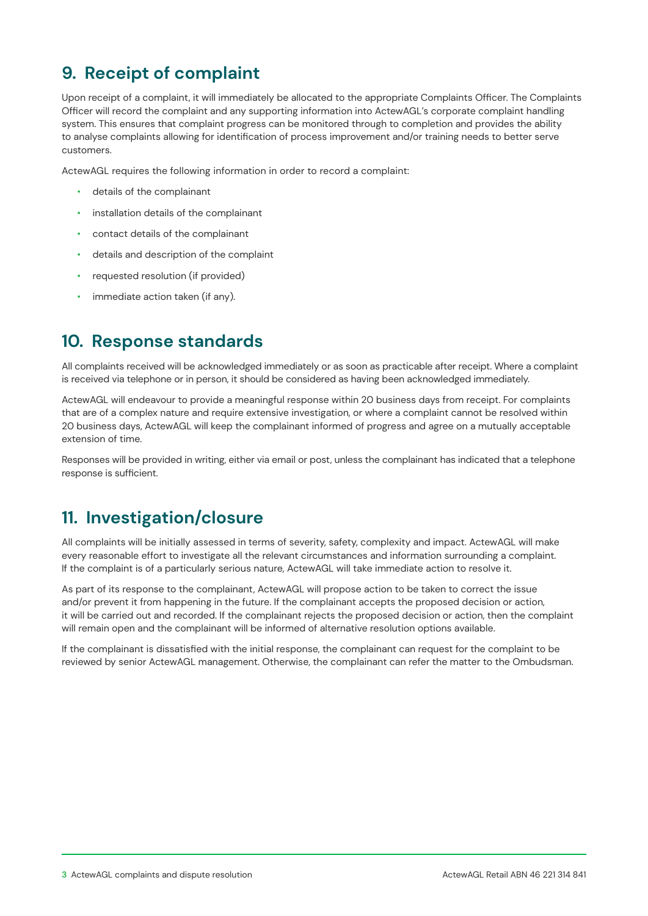# **9. Receipt of complaint**

Upon receipt of a complaint, it will immediately be allocated to the appropriate Complaints Officer. The Complaints Officer will record the complaint and any supporting information into ActewAGL's corporate complaint handling system. This ensures that complaint progress can be monitored through to completion and provides the ability to analyse complaints allowing for identification of process improvement and/or training needs to better serve customers.

ActewAGL requires the following information in order to record a complaint:

- details of the complainant
- installation details of the complainant
- contact details of the complainant
- details and description of the complaint
- requested resolution (if provided)
- immediate action taken (if any).

### **10. Response standards**

All complaints received will be acknowledged immediately or as soon as practicable after receipt. Where a complaint is received via telephone or in person, it should be considered as having been acknowledged immediately.

ActewAGL will endeavour to provide a meaningful response within 20 business days from receipt. For complaints that are of a complex nature and require extensive investigation, or where a complaint cannot be resolved within 20 business days, ActewAGL will keep the complainant informed of progress and agree on a mutually acceptable extension of time.

Responses will be provided in writing, either via email or post, unless the complainant has indicated that a telephone response is sufficient.

### **11. Investigation/closure**

All complaints will be initially assessed in terms of severity, safety, complexity and impact. ActewAGL will make every reasonable effort to investigate all the relevant circumstances and information surrounding a complaint. If the complaint is of a particularly serious nature, ActewAGL will take immediate action to resolve it.

As part of its response to the complainant, ActewAGL will propose action to be taken to correct the issue and/or prevent it from happening in the future. If the complainant accepts the proposed decision or action, it will be carried out and recorded. If the complainant rejects the proposed decision or action, then the complaint will remain open and the complainant will be informed of alternative resolution options available.

If the complainant is dissatisfied with the initial response, the complainant can request for the complaint to be reviewed by senior ActewAGL management. Otherwise, the complainant can refer the matter to the Ombudsman.